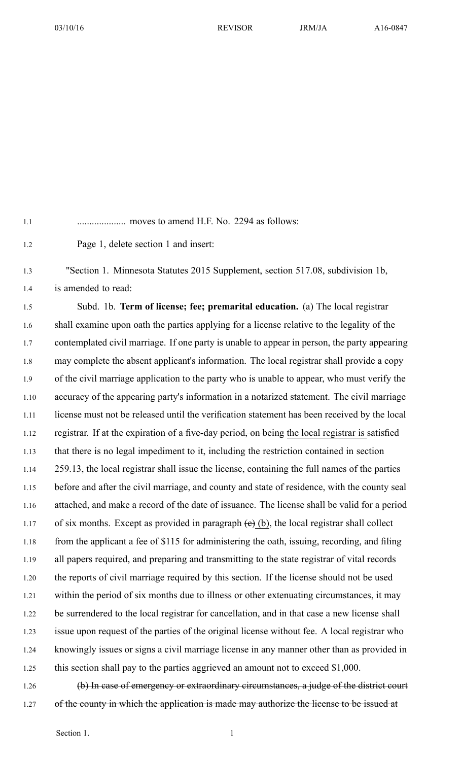1.1 .................... moves to amend H.F. No. 2294 as follows:

1.2 Page 1, delete section 1 and insert:

1.3 "Section 1. Minnesota Statutes 2015 Supplement, section 517.08, subdivision 1b, 1.4 is amended to read:

1.5 Subd. 1b. **Term of license; fee; premarital education.** (a) The local registrar 1.6 shall examine upon oath the parties applying for <sup>a</sup> license relative to the legality of the 1.7 contemplated civil marriage. If one party is unable to appear in person, the party appearing 1.8 may complete the absent applicant's information. The local registrar shall provide <sup>a</sup> copy 1.9 of the civil marriage application to the party who is unable to appear, who must verify the 1.10 accuracy of the appearing party's information in <sup>a</sup> notarized statement. The civil marriage 1.11 license must not be released until the verification statement has been received by the local 1.12 registrar. If at the expiration of a five-day period, on being the local registrar is satisfied 1.13 that there is no legal impediment to it, including the restriction contained in section 1.14 259.13, the local registrar shall issue the license, containing the full names of the parties 1.15 before and after the civil marriage, and county and state of residence, with the county seal 1.16 attached, and make <sup>a</sup> record of the date of issuance. The license shall be valid for <sup>a</sup> period 1.17 of six months. Except as provided in paragraph  $(e)$  (b), the local registrar shall collect 1.18 from the applicant <sup>a</sup> fee of \$115 for administering the oath, issuing, recording, and filing 1.19 all papers required, and preparing and transmitting to the state registrar of vital records 1.20 the reports of civil marriage required by this section. If the license should not be used 1.21 within the period of six months due to illness or other extenuating circumstances, it may 1.22 be surrendered to the local registrar for cancellation, and in that case <sup>a</sup> new license shall 1.23 issue upon reques<sup>t</sup> of the parties of the original license without fee. A local registrar who 1.24 knowingly issues or signs <sup>a</sup> civil marriage license in any manner other than as provided in 1.25 this section shall pay to the parties aggrieved an amount not to exceed \$1,000.

1.26 (b) In case of emergency or extraordinary circumstances, a judge of the district court 1.27 of the county in which the application is made may authorize the license to be issued at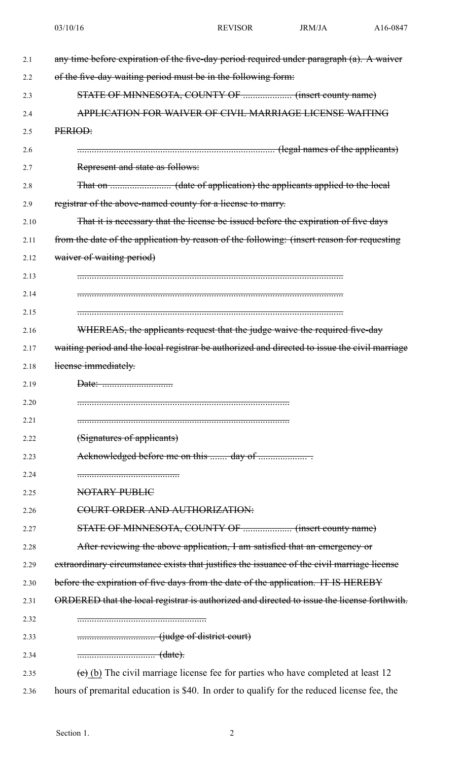| 2.1  | any time before expiration of the five-day period required under paragraph (a). A waiver      |
|------|-----------------------------------------------------------------------------------------------|
| 2.2  | of the five-day waiting period must be in the following form:                                 |
| 2.3  |                                                                                               |
| 2.4  | APPLICATION FOR WAIVER OF CIVIL MARRIAGE LICENSE WAITING                                      |
| 2.5  | PERIOD:                                                                                       |
| 2.6  | ENCORRECTED: (legal names of the applicants)                                                  |
| 2.7  | Represent and state as follows:                                                               |
| 2.8  |                                                                                               |
| 2.9  | registrar of the above-named county for a license to marry.                                   |
| 2.10 | That it is necessary that the license be issued before the expiration of five days            |
| 2.11 | from the date of the application by reason of the following: (insert reason for requesting    |
| 2.12 | waiver of waiting period)                                                                     |
| 2.13 |                                                                                               |
| 2.14 |                                                                                               |
| 2.15 |                                                                                               |
| 2.16 | WHEREAS, the applicants request that the judge waive the required five-day                    |
| 2.17 | waiting period and the local registrar be authorized and directed to issue the civil marriage |
| 2.18 | lieense immediately.                                                                          |
| 2.19 |                                                                                               |
| 2.20 |                                                                                               |
| 2.21 |                                                                                               |
| 2.22 | (Signatures of applicants)                                                                    |
| 2.23 |                                                                                               |
| 2.24 |                                                                                               |
| 2.25 | NOTARY PUBLIC                                                                                 |
| 2.26 | COURT ORDER AND AUTHORIZATION:                                                                |
| 2.27 |                                                                                               |
| 2.28 | After reviewing the above application, I am satisfied that an emergency or                    |
| 2.29 | extraordinary circumstance exists that justifies the issuance of the civil marriage license   |
| 2.30 | before the expiration of five days from the date of the application. IT IS HEREBY             |
| 2.31 | ORDERED that the local registrar is authorized and directed to issue the license forthwith.   |
| 2.32 |                                                                                               |
| 2.33 |                                                                                               |
| 2.34 |                                                                                               |
| 2.35 | $(e)$ (b) The civil marriage license fee for parties who have completed at least 12           |